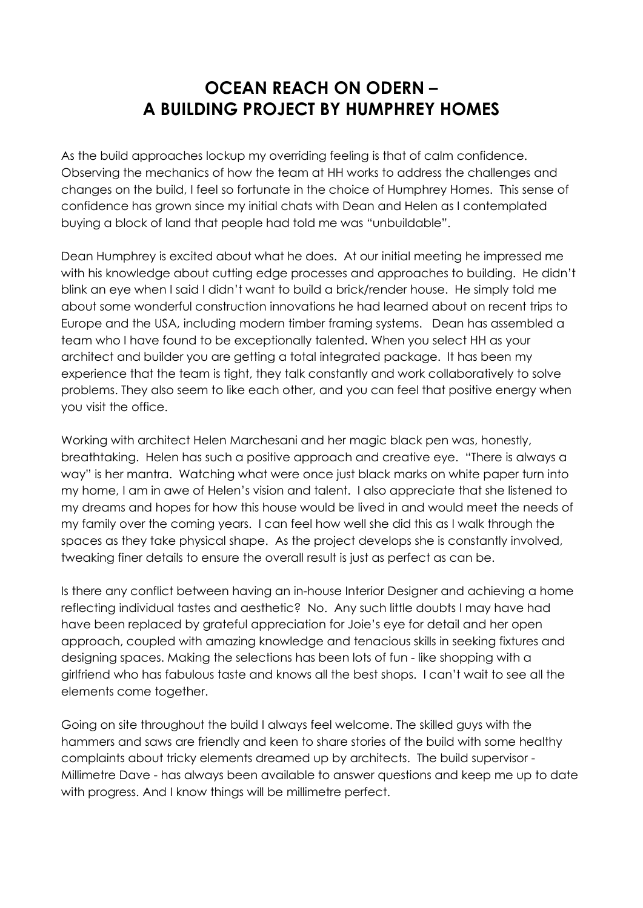## **OCEAN REACH ON ODERN – A BUILDING PROJECT BY HUMPHREY HOMES**

As the build approaches lockup my overriding feeling is that of calm confidence. Observing the mechanics of how the team at HH works to address the challenges and changes on the build, I feel so fortunate in the choice of Humphrey Homes. This sense of confidence has grown since my initial chats with Dean and Helen as I contemplated buying a block of land that people had told me was "unbuildable".

Dean Humphrey is excited about what he does. At our initial meeting he impressed me with his knowledge about cutting edge processes and approaches to building. He didn't blink an eye when I said I didn't want to build a brick/render house. He simply told me about some wonderful construction innovations he had learned about on recent trips to Europe and the USA, including modern timber framing systems. Dean has assembled a team who I have found to be exceptionally talented. When you select HH as your architect and builder you are getting a total integrated package. It has been my experience that the team is tight, they talk constantly and work collaboratively to solve problems. They also seem to like each other, and you can feel that positive energy when you visit the office.

Working with architect Helen Marchesani and her magic black pen was, honestly, breathtaking. Helen has such a positive approach and creative eye. "There is always a way" is her mantra. Watching what were once just black marks on white paper turn into my home, I am in awe of Helen's vision and talent. I also appreciate that she listened to my dreams and hopes for how this house would be lived in and would meet the needs of my family over the coming years. I can feel how well she did this as I walk through the spaces as they take physical shape. As the project develops she is constantly involved, tweaking finer details to ensure the overall result is just as perfect as can be.

Is there any conflict between having an in-house Interior Designer and achieving a home reflecting individual tastes and aesthetic? No. Any such little doubts I may have had have been replaced by grateful appreciation for Joie's eye for detail and her open approach, coupled with amazing knowledge and tenacious skills in seeking fixtures and designing spaces. Making the selections has been lots of fun - like shopping with a girlfriend who has fabulous taste and knows all the best shops. I can't wait to see all the elements come together.

Going on site throughout the build I always feel welcome. The skilled guys with the hammers and saws are friendly and keen to share stories of the build with some healthy complaints about tricky elements dreamed up by architects. The build supervisor - Millimetre Dave - has always been available to answer questions and keep me up to date with progress. And I know things will be millimetre perfect.